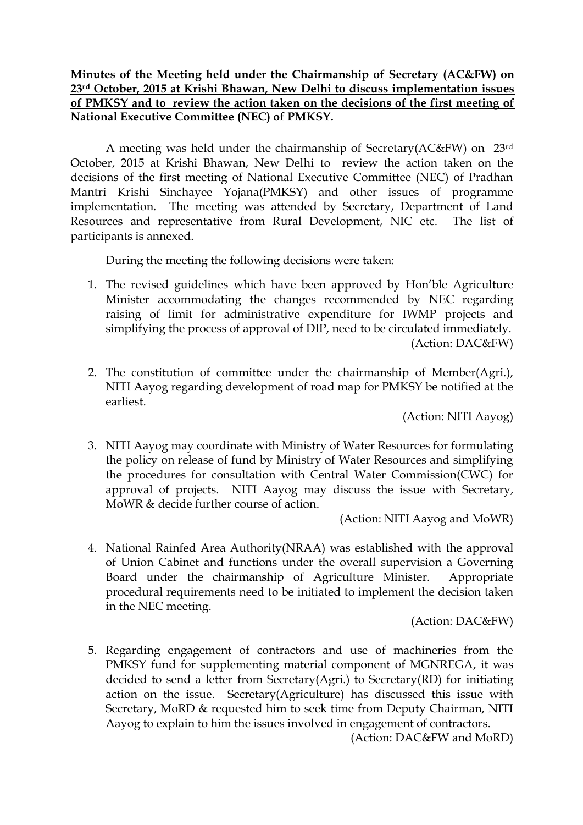## **Minutes of the Meeting held under the Chairmanship of Secretary (AC&FW) on 23rd October, 2015 at Krishi Bhawan, New Delhi to discuss implementation issues of PMKSY and to review the action taken on the decisions of the first meeting of National Executive Committee (NEC) of PMKSY.**

A meeting was held under the chairmanship of Secretary(AC&FW) on 23rd October, 2015 at Krishi Bhawan, New Delhi to review the action taken on the decisions of the first meeting of National Executive Committee (NEC) of Pradhan Mantri Krishi Sinchayee Yojana(PMKSY) and other issues of programme implementation. The meeting was attended by Secretary, Department of Land Resources and representative from Rural Development, NIC etc. The list of participants is annexed.

During the meeting the following decisions were taken:

- 1. The revised guidelines which have been approved by Hon'ble Agriculture Minister accommodating the changes recommended by NEC regarding raising of limit for administrative expenditure for IWMP projects and simplifying the process of approval of DIP, need to be circulated immediately. (Action: DAC&FW)
- 2. The constitution of committee under the chairmanship of Member(Agri.), NITI Aayog regarding development of road map for PMKSY be notified at the earliest.

(Action: NITI Aayog)

3. NITI Aayog may coordinate with Ministry of Water Resources for formulating the policy on release of fund by Ministry of Water Resources and simplifying the procedures for consultation with Central Water Commission(CWC) for approval of projects. NITI Aayog may discuss the issue with Secretary, MoWR & decide further course of action.

(Action: NITI Aayog and MoWR)

4. National Rainfed Area Authority(NRAA) was established with the approval of Union Cabinet and functions under the overall supervision a Governing Board under the chairmanship of Agriculture Minister. Appropriate procedural requirements need to be initiated to implement the decision taken in the NEC meeting.

(Action: DAC&FW)

5. Regarding engagement of contractors and use of machineries from the PMKSY fund for supplementing material component of MGNREGA, it was decided to send a letter from Secretary(Agri.) to Secretary(RD) for initiating action on the issue. Secretary(Agriculture) has discussed this issue with Secretary, MoRD & requested him to seek time from Deputy Chairman, NITI Aayog to explain to him the issues involved in engagement of contractors.

(Action: DAC&FW and MoRD)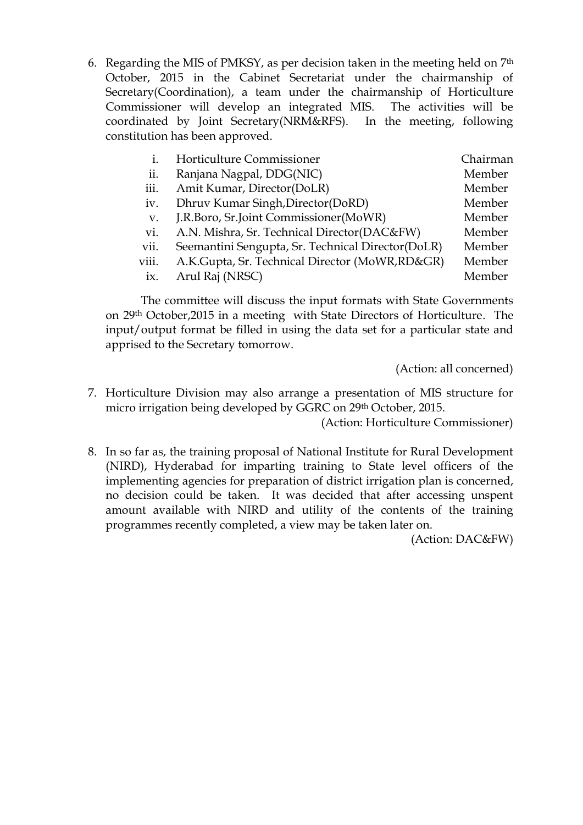6. Regarding the MIS of PMKSY, as per decision taken in the meeting held on  $7<sup>th</sup>$ October, 2015 in the Cabinet Secretariat under the chairmanship of Secretary(Coordination), a team under the chairmanship of Horticulture Commissioner will develop an integrated MIS. The activities will be coordinated by Joint Secretary(NRM&RFS). In the meeting, following constitution has been approved.

| i.          | Horticulture Commissioner                         | Chairman |
|-------------|---------------------------------------------------|----------|
| ii.         | Ranjana Nagpal, DDG(NIC)                          | Member   |
| iii.        | Amit Kumar, Director(DoLR)                        | Member   |
| iv.         | Dhruv Kumar Singh, Director (DoRD)                | Member   |
| $V_{\cdot}$ | J.R.Boro, Sr.Joint Commissioner(MoWR)             | Member   |
| vi.         | A.N. Mishra, Sr. Technical Director(DAC&FW)       | Member   |
| vii.        | Seemantini Sengupta, Sr. Technical Director(DoLR) | Member   |
| viii.       | A.K.Gupta, Sr. Technical Director (MoWR,RD&GR)    | Member   |
| ix.         | Arul Raj (NRSC)                                   | Member   |

The committee will discuss the input formats with State Governments on 29th October,2015 in a meeting with State Directors of Horticulture. The input/output format be filled in using the data set for a particular state and apprised to the Secretary tomorrow.

(Action: all concerned)

7. Horticulture Division may also arrange a presentation of MIS structure for micro irrigation being developed by GGRC on 29th October, 2015.

(Action: Horticulture Commissioner)

8. In so far as, the training proposal of National Institute for Rural Development (NIRD), Hyderabad for imparting training to State level officers of the implementing agencies for preparation of district irrigation plan is concerned, no decision could be taken. It was decided that after accessing unspent amount available with NIRD and utility of the contents of the training programmes recently completed, a view may be taken later on.

(Action: DAC&FW)